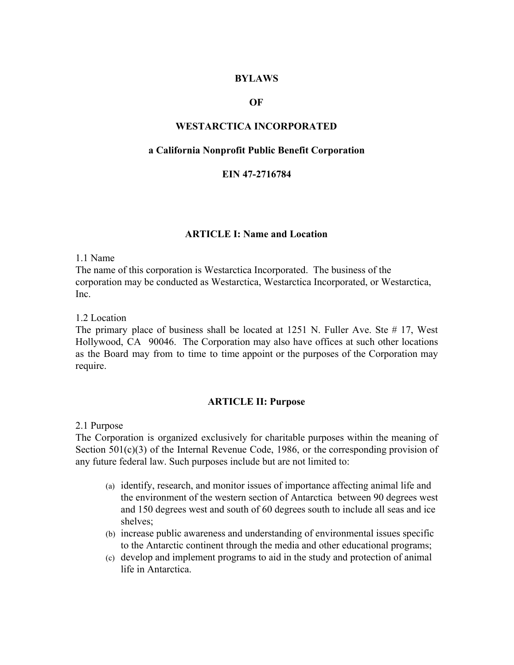### **BYLAWS**

### **OF**

### **WESTARCTICA INCORPORATED**

#### **a California Nonprofit Public Benefit Corporation**

#### **EIN 472716784**

#### **ARTICLE I: Name and Location**

#### 1.1 Name

The name of this corporation is Westarctica Incorporated. The business of the corporation may be conducted as Westarctica, Westarctica Incorporated, or Westarctica, Inc.

#### 1.2 Location

The primary place of business shall be located at 1251 N. Fuller Ave. Ste # 17, West Hollywood, CA 90046. The Corporation may also have offices at such other locations as the Board may from to time to time appoint or the purposes of the Corporation may require.

#### **ARTICLE II: Purpose**

#### 2.1 Purpose

The Corporation is organized exclusively for charitable purposes within the meaning of Section 501(c)(3) of the Internal Revenue Code, 1986, or the corresponding provision of any future federal law. Such purposes include but are not limited to:

- (a) identify, research, and monitor issues of importance affecting animal life and the environment of the western section of Antarctica between 90 degrees west and 150 degrees west and south of 60 degrees south to include all seas and ice shelves;
- (b) increase public awareness and understanding of environmental issues specific to the Antarctic continent through the media and other educational programs;
- (c) develop and implement programs to aid in the study and protection of animal life in Antarctica.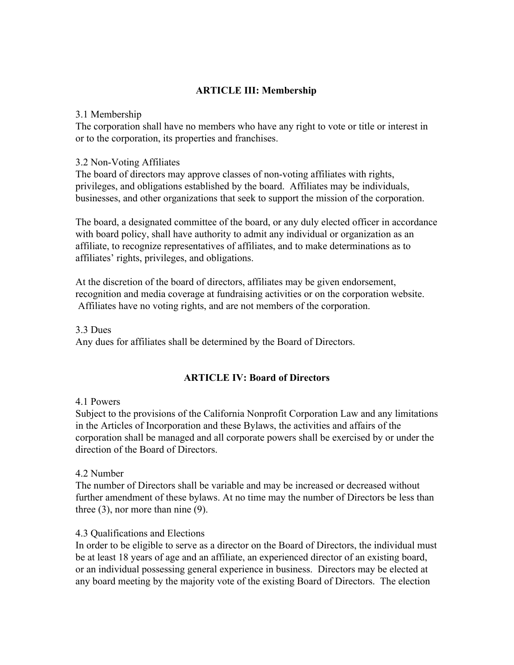# **ARTICLE III: Membership**

### 3.1 Membership

The corporation shall have no members who have any right to vote or title or interest in or to the corporation, its properties and franchises.

# 3.2 Non-Voting Affiliates

The board of directors may approve classes of non-voting affiliates with rights, privileges, and obligations established by the board. Affiliates may be individuals, businesses, and other organizations that seek to support the mission of the corporation.

The board, a designated committee of the board, or any duly elected officer in accordance with board policy, shall have authority to admit any individual or organization as an affiliate, to recognize representatives of affiliates, and to make determinations as to affiliates' rights, privileges, and obligations.

At the discretion of the board of directors, affiliates may be given endorsement, recognition and media coverage at fundraising activities or on the corporation website. Affiliates have no voting rights, and are not members of the corporation.

3.3 Dues

Any dues for affiliates shall be determined by the Board of Directors.

# **ARTICLE IV: Board of Directors**

# 4.1 Powers

Subject to the provisions of the California Nonprofit Corporation Law and any limitations in the Articles of Incorporation and these Bylaws, the activities and affairs of the corporation shall be managed and all corporate powers shall be exercised by or under the direction of the Board of Directors.

# 4.2 Number

The number of Directors shall be variable and may be increased or decreased without further amendment of these bylaws. At no time may the number of Directors be less than three (3), nor more than nine (9).

# 4.3 Qualifications and Elections

In order to be eligible to serve as a director on the Board of Directors, the individual must be at least 18 years of age and an affiliate, an experienced director of an existing board, or an individual possessing general experience in business. Directors may be elected at any board meeting by the majority vote of the existing Board of Directors. The election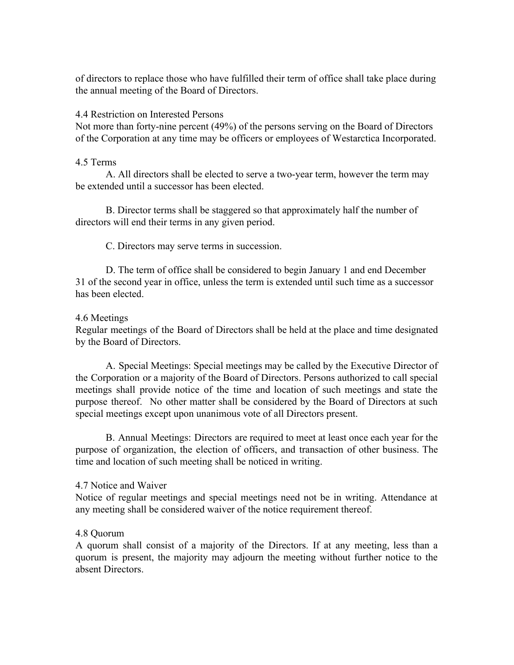of directors to replace those who have fulfilled their term of office shall take place during the annual meeting of the Board of Directors.

### 4.4 Restriction on Interested Persons

Not more than forty-nine percent (49%) of the persons serving on the Board of Directors of the Corporation at any time may be officers or employees of Westarctica Incorporated.

### 4.5 Terms

A. All directors shall be elected to serve a two-year term, however the term may be extended until a successor has been elected.

B. Director terms shall be staggered so that approximately half the number of directors will end their terms in any given period.

C. Directors may serve terms in succession.

D. The term of office shall be considered to begin January 1 and end December 31 of the second year in office, unless the term is extended until such time as a successor has been elected.

### 4.6 Meetings

Regular meetings of the Board of Directors shall be held at the place and time designated by the Board of Directors.

A. Special Meetings: Special meetings may be called by the Executive Director of the Corporation or a majority of the Board of Directors. Persons authorized to call special meetings shall provide notice of the time and location of such meetings and state the purpose thereof. No other matter shall be considered by the Board of Directors at such special meetings except upon unanimous vote of all Directors present.

B. Annual Meetings: Directors are required to meet at least once each year for the purpose of organization, the election of officers, and transaction of other business. The time and location of such meeting shall be noticed in writing.

### 4.7 Notice and Waiver

Notice of regular meetings and special meetings need not be in writing. Attendance at any meeting shall be considered waiver of the notice requirement thereof.

### 4.8 Quorum

A quorum shall consist of a majority of the Directors. If at any meeting, less than a quorum is present, the majority may adjourn the meeting without further notice to the absent Directors.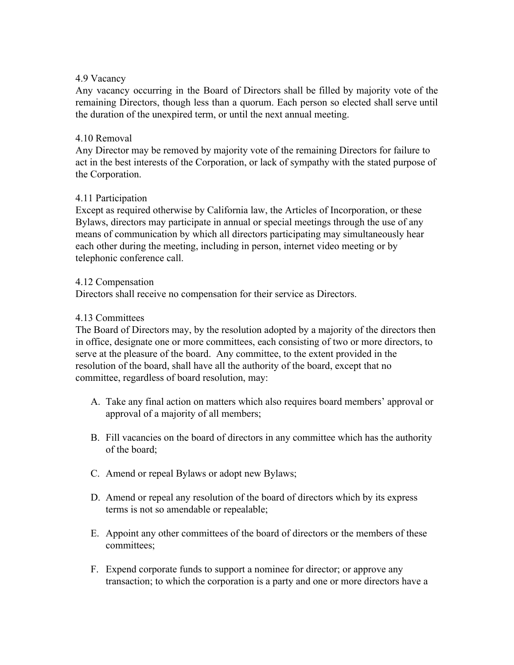# 4.9 Vacancy

Any vacancy occurring in the Board of Directors shall be filled by majority vote of the remaining Directors, though less than a quorum. Each person so elected shall serve until the duration of the unexpired term, or until the next annual meeting.

### 4.10 Removal

Any Director may be removed by majority vote of the remaining Directors for failure to act in the best interests of the Corporation, or lack of sympathy with the stated purpose of the Corporation.

### 4.11 Participation

Except as required otherwise by California law, the Articles of Incorporation, or these Bylaws, directors may participate in annual or special meetings through the use of any means of communication by which all directors participating may simultaneously hear each other during the meeting, including in person, internet video meeting or by telephonic conference call.

### 4.12 Compensation

Directors shall receive no compensation for their service as Directors.

### 4.13 Committees

The Board of Directors may, by the resolution adopted by a majority of the directors then in office, designate one or more committees, each consisting of two or more directors, to serve at the pleasure of the board. Any committee, to the extent provided in the resolution of the board, shall have all the authority of the board, except that no committee, regardless of board resolution, may:

- A. Take any final action on matters which also requires board members' approval or approval of a majority of all members;
- B. Fill vacancies on the board of directors in any committee which has the authority of the board;
- C. Amend or repeal Bylaws or adopt new Bylaws;
- D. Amend or repeal any resolution of the board of directors which by its express terms is not so amendable or repealable;
- E. Appoint any other committees of the board of directors or the members of these committees;
- F. Expend corporate funds to support a nominee for director; or approve any transaction; to which the corporation is a party and one or more directors have a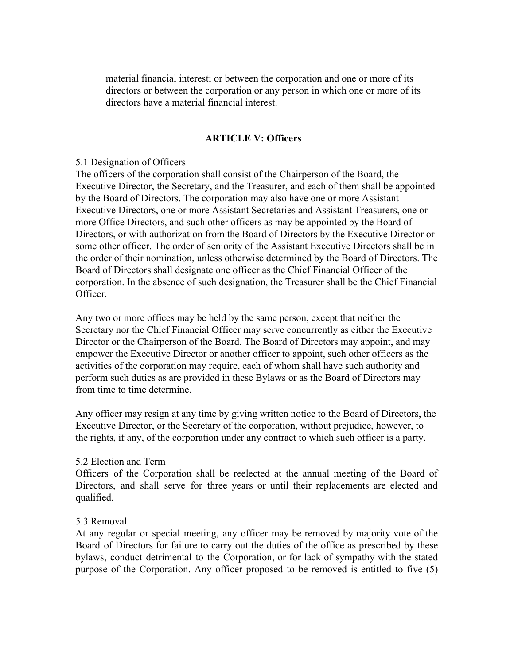material financial interest; or between the corporation and one or more of its directors or between the corporation or any person in which one or more of its directors have a material financial interest.

# **ARTICLE V: Officers**

### 5.1 Designation of Officers

The officers of the corporation shall consist of the Chairperson of the Board, the Executive Director, the Secretary, and the Treasurer, and each of them shall be appointed by the Board of Directors. The corporation may also have one or more Assistant Executive Directors, one or more Assistant Secretaries and Assistant Treasurers, one or more Office Directors, and such other officers as may be appointed by the Board of Directors, or with authorization from the Board of Directors by the Executive Director or some other officer. The order of seniority of the Assistant Executive Directors shall be in the order of their nomination, unless otherwise determined by the Board of Directors. The Board of Directors shall designate one officer as the Chief Financial Officer of the corporation. In the absence of such designation, the Treasurer shall be the Chief Financial Officer.

Any two or more offices may be held by the same person, except that neither the Secretary nor the Chief Financial Officer may serve concurrently as either the Executive Director or the Chairperson of the Board. The Board of Directors may appoint, and may empower the Executive Director or another officer to appoint, such other officers as the activities of the corporation may require, each of whom shall have such authority and perform such duties as are provided in these Bylaws or as the Board of Directors may from time to time determine.

Any officer may resign at any time by giving written notice to the Board of Directors, the Executive Director, or the Secretary of the corporation, without prejudice, however, to the rights, if any, of the corporation under any contract to which such officer is a party.

#### 5.2 Election and Term

Officers of the Corporation shall be reelected at the annual meeting of the Board of Directors, and shall serve for three years or until their replacements are elected and qualified.

### 5.3 Removal

At any regular or special meeting, any officer may be removed by majority vote of the Board of Directors for failure to carry out the duties of the office as prescribed by these bylaws, conduct detrimental to the Corporation, or for lack of sympathy with the stated purpose of the Corporation. Any officer proposed to be removed is entitled to five (5)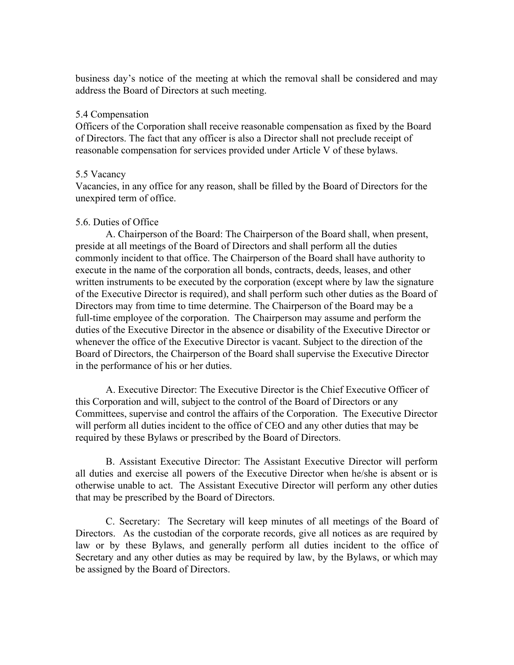business day's notice of the meeting at which the removal shall be considered and may address the Board of Directors at such meeting.

### 5.4 Compensation

Officers of the Corporation shall receive reasonable compensation as fixed by the Board of Directors. The fact that any officer is also a Director shall not preclude receipt of reasonable compensation for services provided under Article V of these bylaws.

### 5.5 Vacancy

Vacancies, in any office for any reason, shall be filled by the Board of Directors for the unexpired term of office.

### 5.6. Duties of Office

A. Chairperson of the Board: The Chairperson of the Board shall, when present, preside at all meetings of the Board of Directors and shall perform all the duties commonly incident to that office. The Chairperson of the Board shall have authority to execute in the name of the corporation all bonds, contracts, deeds, leases, and other written instruments to be executed by the corporation (except where by law the signature of the Executive Director is required), and shall perform such other duties as the Board of Directors may from time to time determine. The Chairperson of the Board may be a full-time employee of the corporation. The Chairperson may assume and perform the duties of the Executive Director in the absence or disability of the Executive Director or whenever the office of the Executive Director is vacant. Subject to the direction of the Board of Directors, the Chairperson of the Board shall supervise the Executive Director in the performance of his or her duties.

A. Executive Director: The Executive Director is the Chief Executive Officer of this Corporation and will, subject to the control of the Board of Directors or any Committees, supervise and control the affairs of the Corporation. The Executive Director will perform all duties incident to the office of CEO and any other duties that may be required by these Bylaws or prescribed by the Board of Directors.

B. Assistant Executive Director: The Assistant Executive Director will perform all duties and exercise all powers of the Executive Director when he/she is absent or is otherwise unable to act. The Assistant Executive Director will perform any other duties that may be prescribed by the Board of Directors.

C. Secretary: The Secretary will keep minutes of all meetings of the Board of Directors. As the custodian of the corporate records, give all notices as are required by law or by these Bylaws, and generally perform all duties incident to the office of Secretary and any other duties as may be required by law, by the Bylaws, or which may be assigned by the Board of Directors.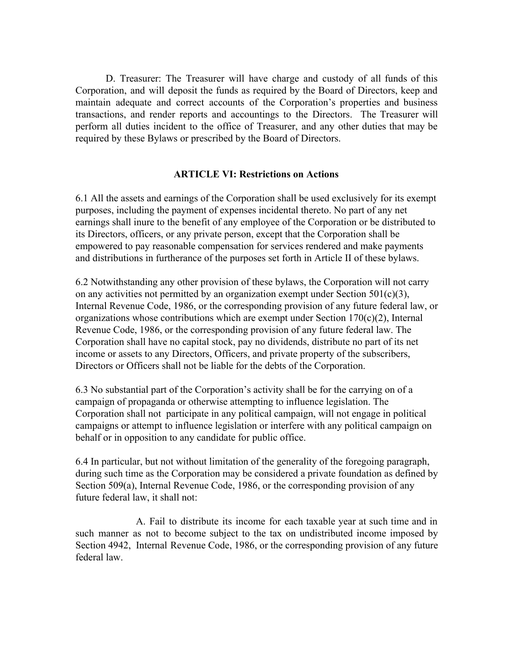D. Treasurer: The Treasurer will have charge and custody of all funds of this Corporation, and will deposit the funds as required by the Board of Directors, keep and maintain adequate and correct accounts of the Corporation's properties and business transactions, and render reports and accountings to the Directors. The Treasurer will perform all duties incident to the office of Treasurer, and any other duties that may be required by these Bylaws or prescribed by the Board of Directors.

### **ARTICLE VI: Restrictions on Actions**

6.1 All the assets and earnings of the Corporation shall be used exclusively for its exempt purposes, including the payment of expenses incidental thereto. No part of any net earnings shall inure to the benefit of any employee of the Corporation or be distributed to its Directors, officers, or any private person, except that the Corporation shall be empowered to pay reasonable compensation for services rendered and make payments and distributions in furtherance of the purposes set forth in Article II of these bylaws.

6.2 Notwithstanding any other provision of these bylaws, the Corporation will not carry on any activities not permitted by an organization exempt under Section  $501(c)(3)$ , Internal Revenue Code, 1986, or the corresponding provision of any future federal law, or organizations whose contributions which are exempt under Section 170(c)(2), Internal Revenue Code, 1986, or the corresponding provision of any future federal law. The Corporation shall have no capital stock, pay no dividends, distribute no part of its net income or assets to any Directors, Officers, and private property of the subscribers, Directors or Officers shall not be liable for the debts of the Corporation.

6.3 No substantial part of the Corporation's activity shall be for the carrying on of a campaign of propaganda or otherwise attempting to influence legislation. The Corporation shall not participate in any political campaign, will not engage in political campaigns or attempt to influence legislation or interfere with any political campaign on behalf or in opposition to any candidate for public office.

6.4 In particular, but not without limitation of the generality of the foregoing paragraph, during such time as the Corporation may be considered a private foundation as defined by Section 509(a), Internal Revenue Code, 1986, or the corresponding provision of any future federal law, it shall not:

A. Fail to distribute its income for each taxable year at such time and in such manner as not to become subject to the tax on undistributed income imposed by Section 4942, Internal Revenue Code, 1986, or the corresponding provision of any future federal law.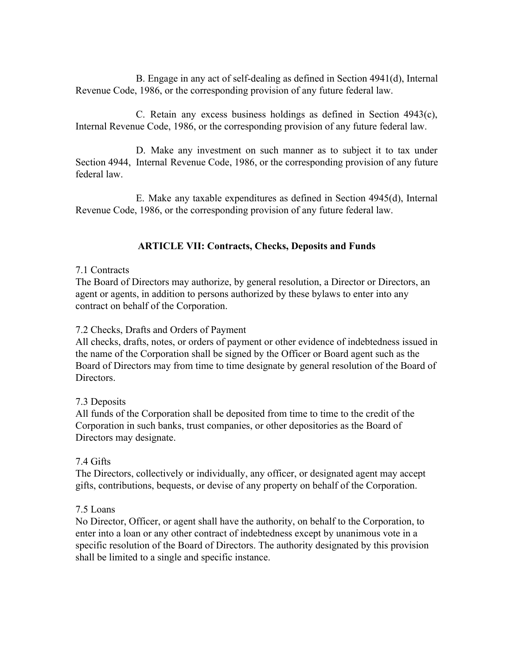B. Engage in any act of self-dealing as defined in Section 4941(d), Internal Revenue Code, 1986, or the corresponding provision of any future federal law.

C. Retain any excess business holdings as defined in Section 4943(c), Internal Revenue Code, 1986, or the corresponding provision of any future federal law.

D. Make any investment on such manner as to subject it to tax under Section 4944, Internal Revenue Code, 1986, or the corresponding provision of any future federal law.

E. Make any taxable expenditures as defined in Section 4945(d), Internal Revenue Code, 1986, or the corresponding provision of any future federal law.

### **ARTICLE VII: Contracts, Checks, Deposits and Funds**

### 7.1 Contracts

The Board of Directors may authorize, by general resolution, a Director or Directors, an agent or agents, in addition to persons authorized by these bylaws to enter into any contract on behalf of the Corporation.

### 7.2 Checks, Drafts and Orders of Payment

All checks, drafts, notes, or orders of payment or other evidence of indebtedness issued in the name of the Corporation shall be signed by the Officer or Board agent such as the Board of Directors may from time to time designate by general resolution of the Board of Directors.

### 7.3 Deposits

All funds of the Corporation shall be deposited from time to time to the credit of the Corporation in such banks, trust companies, or other depositories as the Board of Directors may designate.

### 7.4 Gifts

The Directors, collectively or individually, any officer, or designated agent may accept gifts, contributions, bequests, or devise of any property on behalf of the Corporation.

### 7.5 Loans

No Director, Officer, or agent shall have the authority, on behalf to the Corporation, to enter into a loan or any other contract of indebtedness except by unanimous vote in a specific resolution of the Board of Directors. The authority designated by this provision shall be limited to a single and specific instance.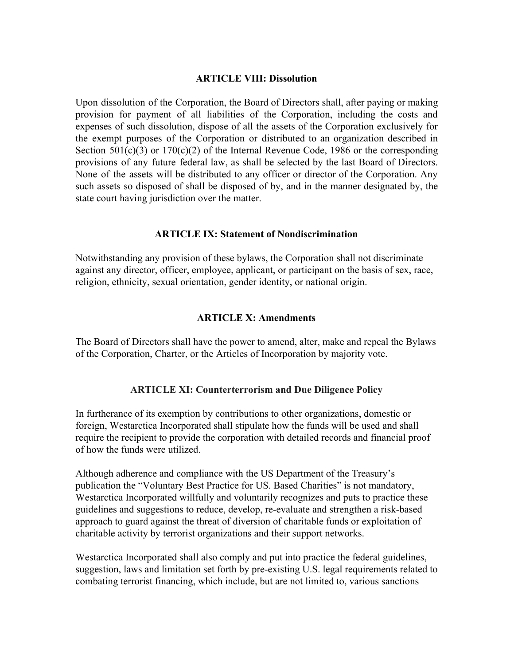### **ARTICLE VIII: Dissolution**

Upon dissolution of the Corporation, the Board of Directors shall, after paying or making provision for payment of all liabilities of the Corporation, including the costs and expenses of such dissolution, dispose of all the assets of the Corporation exclusively for the exempt purposes of the Corporation or distributed to an organization described in Section  $501(c)(3)$  or  $170(c)(2)$  of the Internal Revenue Code, 1986 or the corresponding provisions of any future federal law, as shall be selected by the last Board of Directors. None of the assets will be distributed to any officer or director of the Corporation. Any such assets so disposed of shall be disposed of by, and in the manner designated by, the state court having jurisdiction over the matter.

### **ARTICLE IX: Statement of Nondiscrimination**

Notwithstanding any provision of these bylaws, the Corporation shall not discriminate against any director, officer, employee, applicant, or participant on the basis of sex, race, religion, ethnicity, sexual orientation, gender identity, or national origin.

### **ARTICLE X: Amendments**

The Board of Directors shall have the power to amend, alter, make and repeal the Bylaws of the Corporation, Charter, or the Articles of Incorporation by majority vote.

### **ARTICLE XI: Counterterrorism and Due Diligence Policy**

In furtherance of its exemption by contributions to other organizations, domestic or foreign, Westarctica Incorporated shall stipulate how the funds will be used and shall require the recipient to provide the corporation with detailed records and financial proof of how the funds were utilized.

Although adherence and compliance with the US Department of the Treasury's publication the "Voluntary Best Practice for US. Based Charities" is not mandatory, Westarctica Incorporated willfully and voluntarily recognizes and puts to practice these guidelines and suggestions to reduce, develop, re-evaluate and strengthen a risk-based approach to guard against the threat of diversion of charitable funds or exploitation of charitable activity by terrorist organizations and their support networks.

Westarctica Incorporated shall also comply and put into practice the federal guidelines, suggestion, laws and limitation set forth by pre-existing U.S. legal requirements related to combating terrorist financing, which include, but are not limited to, various sanctions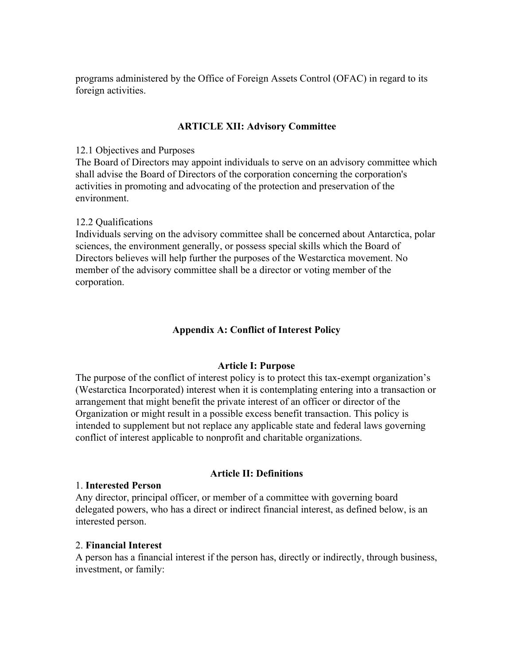programs administered by the Office of Foreign Assets Control (OFAC) in regard to its foreign activities.

### **ARTICLE XII: Advisory Committee**

### 12.1 Objectives and Purposes

The Board of Directors may appoint individuals to serve on an advisory committee which shall advise the Board of Directors of the corporation concerning the corporation's activities in promoting and advocating of the protection and preservation of the environment.

### 12.2 Qualifications

Individuals serving on the advisory committee shall be concerned about Antarctica, polar sciences, the environment generally, or possess special skills which the Board of Directors believes will help further the purposes of the Westarctica movement. No member of the advisory committee shall be a director or voting member of the corporation.

# **Appendix A: Conflict of Interest Policy**

### **Article I: Purpose**

The purpose of the conflict of interest policy is to protect this tax-exempt organization's (Westarctica Incorporated) interest when it is contemplating entering into a transaction or arrangement that might benefit the private interest of an officer or director of the Organization or might result in a possible excess benefit transaction. This policy is intended to supplement but not replace any applicable state and federal laws governing conflict of interest applicable to nonprofit and charitable organizations.

# **Article II: Definitions**

# 1. **Interested Person**

Any director, principal officer, or member of a committee with governing board delegated powers, who has a direct or indirect financial interest, as defined below, is an interested person.

### 2. **Financial Interest**

A person has a financial interest if the person has, directly or indirectly, through business, investment, or family: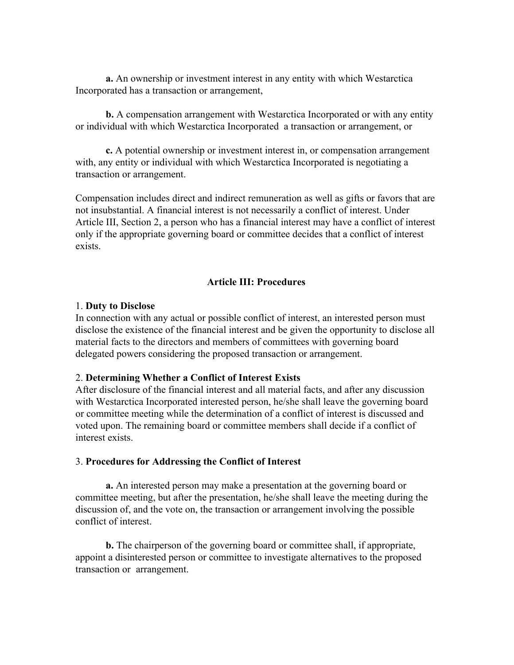**a.**An ownership or investment interest in any entity with which Westarctica Incorporated has a transaction or arrangement,

**b.**A compensation arrangement with Westarctica Incorporated or with any entity or individual with which Westarctica Incorporated a transaction or arrangement, or

**c.**A potential ownership or investment interest in, or compensation arrangement with, any entity or individual with which Westarctica Incorporated is negotiating a transaction or arrangement.

Compensation includes direct and indirect remuneration as well as gifts or favors that are not insubstantial. A financial interest is not necessarily a conflict of interest. Under Article III, Section 2, a person who has a financial interest may have a conflict of interest only if the appropriate governing board or committee decides that a conflict of interest exists.

### **Article III: Procedures**

### 1. **Duty to Disclose**

In connection with any actual or possible conflict of interest, an interested person must disclose the existence of the financial interest and be given the opportunity to disclose all material facts to the directors and members of committees with governing board delegated powers considering the proposed transaction or arrangement.

### 2. **Determining Whether a Conflict of Interest Exists**

After disclosure of the financial interest and all material facts, and after any discussion with Westarctica Incorporated interested person, he/she shall leave the governing board or committee meeting while the determination of a conflict of interest is discussed and voted upon. The remaining board or committee members shall decide if a conflict of interest exists.

### 3. **Procedures for Addressing the Conflict of Interest**

**a.**An interested person may make a presentation at the governing board or committee meeting, but after the presentation, he/she shall leave the meeting during the discussion of, and the vote on, the transaction or arrangement involving the possible conflict of interest.

**b.**The chairperson of the governing board or committee shall, if appropriate, appoint a disinterested person or committee to investigate alternatives to the proposed transaction or arrangement.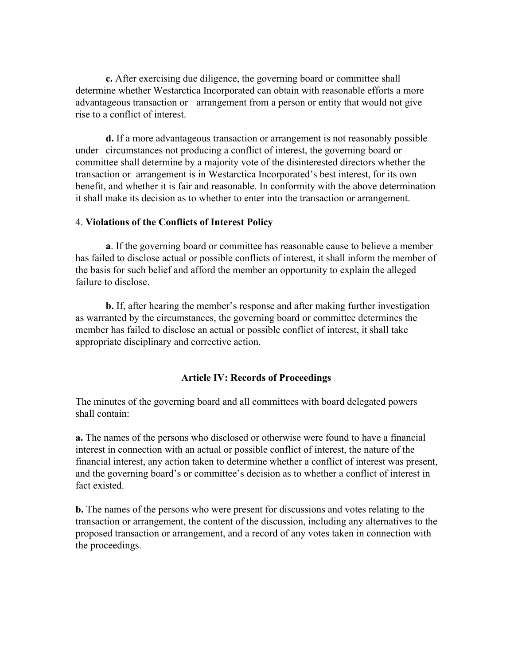**c.**After exercising due diligence, the governing board or committee shall determine whether Westarctica Incorporated can obtain with reasonable efforts a more advantageous transaction or arrangement from a person or entity that would not give rise to a conflict of interest.

**d.**If a more advantageous transaction or arrangement is not reasonably possible under circumstances not producing a conflict of interest, the governing board or committee shall determine by a majority vote of the disinterested directors whether the transaction or arrangement is in Westarctica Incorporated's best interest, for its own benefit, and whether it is fair and reasonable. In conformity with the above determination it shall make its decision as to whether to enter into the transaction or arrangement.

#### 4. **Violations of the Conflicts of Interest Policy**

**a**. If the governing board or committee has reasonable cause to believe a member has failed to disclose actual or possible conflicts of interest, it shall inform the member of the basis for such belief and afford the member an opportunity to explain the alleged failure to disclose.

**b.**If, after hearing the member's response and after making further investigation as warranted by the circumstances, the governing board or committee determines the member has failed to disclose an actual or possible conflict of interest, it shall take appropriate disciplinary and corrective action.

### **Article IV: Records of Proceedings**

The minutes of the governing board and all committees with board delegated powers shall contain:

**a.**The names of the persons who disclosed or otherwise were found to have a financial interest in connection with an actual or possible conflict of interest, the nature of the financial interest, any action taken to determine whether a conflict of interest was present, and the governing board's or committee's decision as to whether a conflict of interest in fact existed.

**b.**The names of the persons who were present for discussions and votes relating to the transaction or arrangement, the content of the discussion, including any alternatives to the proposed transaction or arrangement, and a record of any votes taken in connection with the proceedings.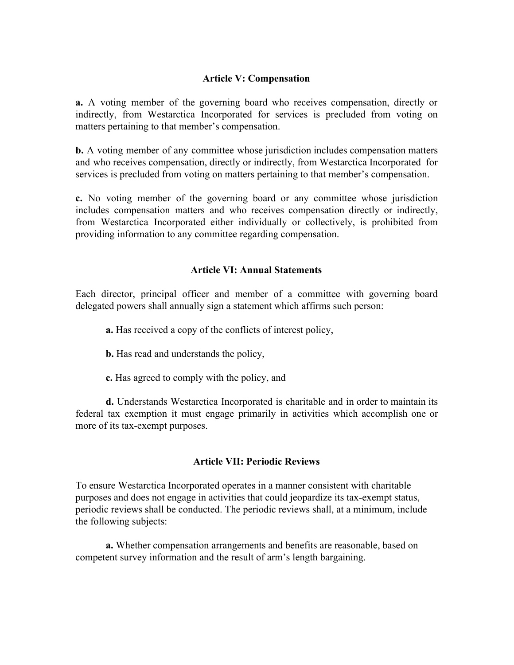### **Article V: Compensation**

**a.** A voting member of the governing board who receives compensation, directly or indirectly, from Westarctica Incorporated for services is precluded from voting on matters pertaining to that member's compensation.

**b.** A voting member of any committee whose jurisdiction includes compensation matters and who receives compensation, directly or indirectly, from Westarctica Incorporated for services is precluded from voting on matters pertaining to that member's compensation.

**c.** No voting member of the governing board or any committee whose jurisdiction includes compensation matters and who receives compensation directly or indirectly, from Westarctica Incorporated either individually or collectively, is prohibited from providing information to any committee regarding compensation.

### **Article VI: Annual Statements**

Each director, principal officer and member of a committee with governing board delegated powers shall annually sign a statement which affirms such person:

- **a.**Has received a copy of the conflicts of interest policy,
- **b.**Has read and understands the policy,
- **c.**Has agreed to comply with the policy, and

**d.** Understands Westarctica Incorporated is charitable and in order to maintain its federal tax exemption it must engage primarily in activities which accomplish one or more of its tax-exempt purposes.

#### **Article VII: Periodic Reviews**

To ensure Westarctica Incorporated operates in a manner consistent with charitable purposes and does not engage in activities that could jeopardize its tax-exempt status, periodic reviews shall be conducted. The periodic reviews shall, at a minimum, include the following subjects:

**a.**Whether compensation arrangements and benefits are reasonable, based on competent survey information and the result of arm's length bargaining.